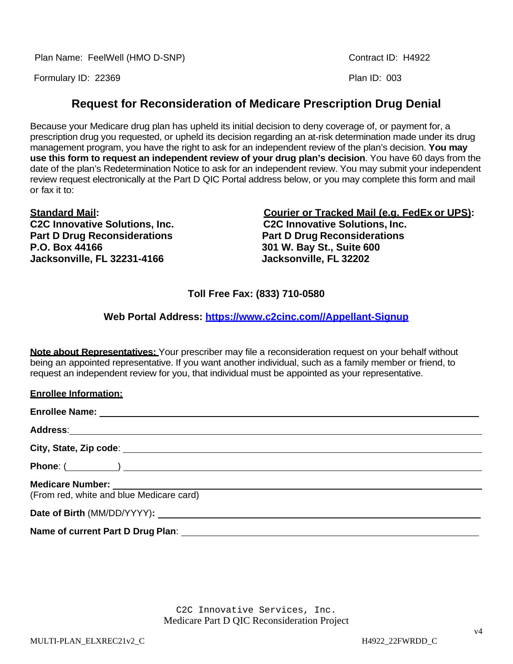Plan Name: FeelWell (HMO D-SNP) Contract ID: H4922

Formulary ID: 22369 Plan ID: 003

# **Request for Reconsideration of Medicare Prescription Drug Denial**

Because your Medicare drug plan has upheld its initial decision to deny coverage of, or payment for, a prescription drug you requested, or upheld its decision regarding an at-risk determination made under its drug management program, you have the right to ask for an independent review of the plan's decision. **You may use this form to request an independent review of your drug plan's decision**. You have 60 days from the date of the plan's Redetermination Notice to ask for an independent review. You may submit your independent review request electronically at the Part D QIC Portal address below, or you may complete this form and mail or fax it to:

**Part D Drug Reconsiderations P.O. Box 44166 301 W. Bay St., Suite 600 Jacksonville, FL 32231-4166 Jacksonville, FL 32202**

**Standard Mail: Courier or Tracked Mail (e.g. FedEx or UPS): C2C Innovative Solutions, Inc. C2C Innovative Solutions, Inc.**

# **Toll Free Fax: (833) 710-0580**

**Web Portal Address: [https://www.c2cinc.com//Appellant-Signup](https://www.c2cinc.com/Appellant-Signup)**

**Note about Representatives:** Your prescriber may file a reconsideration request on your behalf without being an appointed representative. If you want another individual, such as a family member or friend, to request an independent review for you, that individual must be appointed as your representative.

| <b>Enrollee Information:</b>             |
|------------------------------------------|
|                                          |
|                                          |
|                                          |
|                                          |
| (From red, white and blue Medicare card) |
|                                          |
|                                          |

C2C Innovative Services, Inc. Medicare Part D QIC Reconsideration Project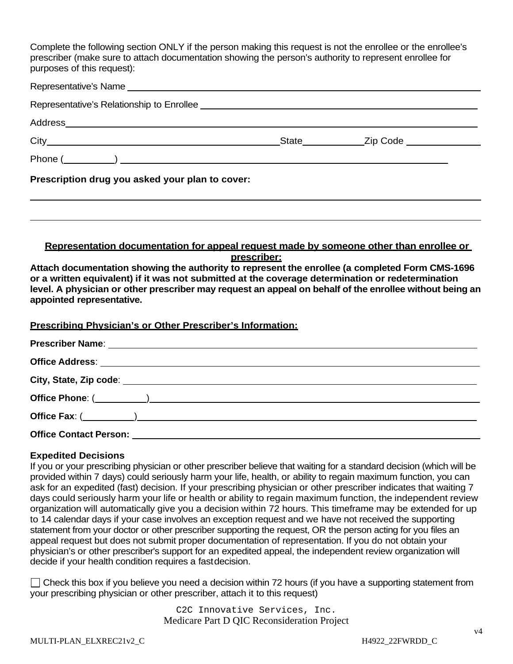Complete the following section ONLY if the person making this request is not the enrollee or the enrollee's prescriber (make sure to attach documentation showing the person's authority to represent enrollee for purposes of this request):

| Prescription drug you asked your plan to cover: |  |  |
|-------------------------------------------------|--|--|

#### **Representation documentation for appeal request made by someone other than enrollee or prescriber:**

**Attach documentation showing the authority to represent the enrollee (a completed Form CMS-1696 or a written equivalent) if it was not submitted at the coverage determination or redetermination level. A physician or other prescriber may request an appeal on behalf of the enrollee without being an appointed representative.**

#### **Prescribing Physician's or Other Prescriber's Information:**

| Office Contact Person: <u>contact of the set of the set of the set of the set of the set of the set of the set of the set of the set of the set of the set of the set of the set of the set of the set of the set of the set of </u> |
|--------------------------------------------------------------------------------------------------------------------------------------------------------------------------------------------------------------------------------------|

## **Expedited Decisions**

If you or your prescribing physician or other prescriber believe that waiting for a standard decision (which will be provided within 7 days) could seriously harm your life, health, or ability to regain maximum function, you can ask for an expedited (fast) decision. If your prescribing physician or other prescriber indicates that waiting 7 days could seriously harm your life or health or ability to regain maximum function, the independent review organization will automatically give you a decision within 72 hours. This timeframe may be extended for up to 14 calendar days if your case involves an exception request and we have not received the supporting statement from your doctor or other prescriber supporting the request, OR the person acting for you files an appeal request but does not submit proper documentation of representation. If you do not obtain your physician's or other prescriber's support for an expedited appeal, the independent review organization will decide if your health condition requires a fastdecision.

 $\Box$  Check this box if you believe you need a decision within 72 hours (if you have a supporting statement from your prescribing physician or other prescriber, attach it to this request)

> C2C Innovative Services, Inc. Medicare Part D QIC Reconsideration Project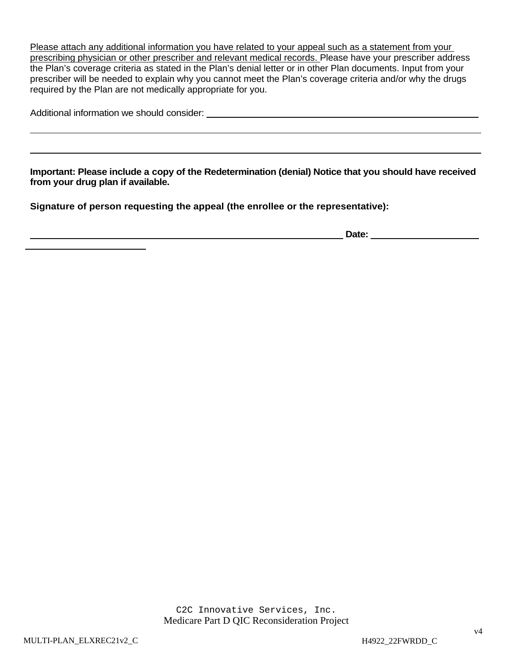Please attach any additional information you have related to your appeal such as a statement from your prescribing physician or other prescriber and relevant medical records. Please have your prescriber address the Plan's coverage criteria as stated in the Plan's denial letter or in other Plan documents. Input from your prescriber will be needed to explain why you cannot meet the Plan's coverage criteria and/or why the drugs required by the Plan are not medically appropriate for you.

| Additional information we should consider: |  |
|--------------------------------------------|--|
|--------------------------------------------|--|

**Important: Please include a copy of the Redetermination (denial) Notice that you should have received from your drug plan if available.**

**Signature of person requesting the appeal (the enrollee or the representative):**

**Date:**